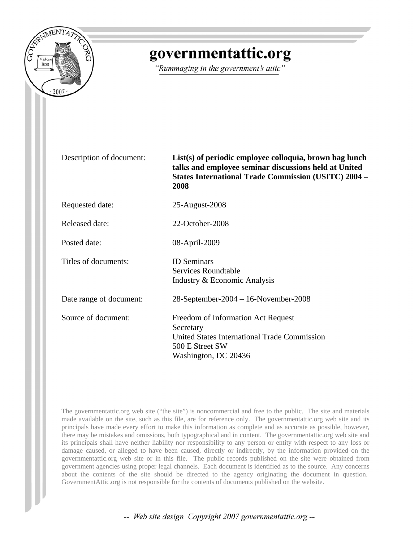

# governmentattic.org

"Rummaging in the government's attic"

Description of document: **List(s) of periodic employee colloquia, brown bag lunch talks and employee seminar discussions held at United States International Trade Commission (USITC) 2004 – 2008**

Requested date: 25-August-2008

| Released date: | 22-October-2008 |
|----------------|-----------------|
|----------------|-----------------|

Posted date: 08-April-2009

Titles of documents: ID Seminars

Date range of document: 28-September-2004 – 16-November-2008

Source of document: Freedom of Information Act Request Secretary United States International Trade Commission 500 E Street SW Washington, DC 20436

The governmentattic.org web site ("the site") is noncommercial and free to the public. The site and materials made available on the site, such as this file, are for reference only. The governmentattic.org web site and its principals have made every effort to make this information as complete and as accurate as possible, however, there may be mistakes and omissions, both typographical and in content. The governmentattic.org web site and its principals shall have neither liability nor responsibility to any person or entity with respect to any loss or damage caused, or alleged to have been caused, directly or indirectly, by the information provided on the governmentattic.org web site or in this file. The public records published on the site were obtained from government agencies using proper legal channels. Each document is identified as to the source. Any concerns about the contents of the site should be directed to the agency originating the document in question. GovernmentAttic.org is not responsible for the contents of documents published on the website.

Services Roundtable

Industry & Economic Analysis

-- Web site design Copyright 2007 governmentattic.org --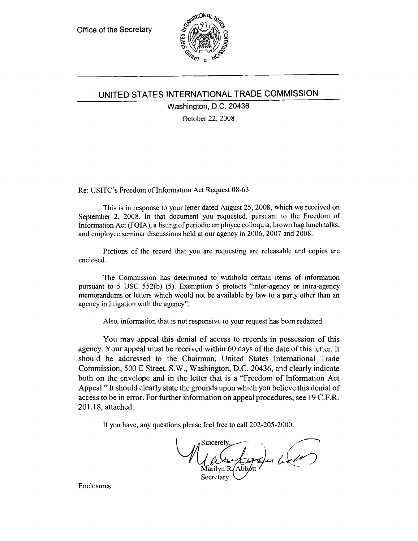

# **UNITED STATES INTERNATIONAL TRADE COMMISSION**

Washington, D.C. 20436

October 22, 2008

Re: USITC's Freedom of Information Act Request 08-63

This is in response to your letter dated August 25, 2008, which we received on September 2, 2008. In that document you requested, pursuant to the Freedom of Information Act (FOIA), a listing of periodic employee colloquia, brown bag lunch talks, and employee seminar discussions held at our agency in 2006, 2007 and 2008.

Portions of the record that you are requesting are releasable and copies are enclosed.

The Commission has determined to withhold certain items of information pursuant to 5 USC 552(b) (5). Exemption 5 protects "inter-agency or intra-agency memorandums or letters which would not be available by law to a party other than an agency in litigation with the agency".

Also, information that is not responsive to your request has been redacted.

You may appeal this denial of access to records in possession of this agency. Your appeal must be received within 60 days of the date of this letter. It should be addressed to the Chairman, United States International Trade Commission, 500 E Street, S.W., Washington, D.C. 20436, and clearly indicate both on the envelope and in the letter that is a "Freedom of Information Act Appeal." It should clearly state the grounds upon which you believe this denial of access to be in error. For further information on appeal procedures, see 19 C.F.R. 201.18, attached.

If you have, any questions please feel free to ca11202-205-2000.

ncerely,<br>Autor des du 62 Sincerely

Secretary

Enclosures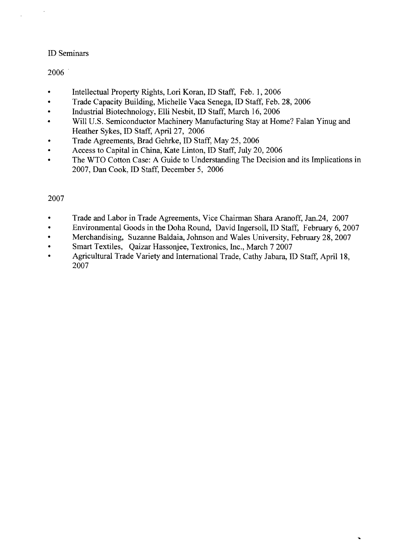# ID Seminars

2006 .

- Intellectual Property Rights, Lori Koran, ID Staff, Feb. 1, 2006
- Trade Capacity Building, Michelle Vaca Senega, ID Staff, Feb. 28, 2006
- Industrial Biotechnology, Elli Nesbit, ID Staff, March 16, 2006
- Will U.S. Semiconductor Machinery Manufacturing Stay at Home? Falan Yinug and Heather Sykes, ID Staff, April 27, 2006
- Trade Agreements, Brad Gehrke, ID Staff, May 25, 2006
- Access to Capital in China, Kate Linton, ID Staff, July 20, 2006
- The WTO Cotton Case: A Guide to Understanding The Decision and its Implications in 2007, Dan Cook, ID Staff, December 5, 2006

# 2007

- Trade and Labor in Trade Agreements, Vice Chairman Shara Aranoff, Jan.24, 2007
- Environmental Goods in the Doha Round, David Ingersoll, ID Staff, February 6,2007
- Merchandising, Suzanne Baldaia, Johnson and Wales University, February 28, 2007
- Smart Textiles, Qaizar Hassonjee, Textronics, Inc., March 7 2007
- Agricultural Trade Variety and International Trade, Cathy Jabara, ID Staff, April 18, 2007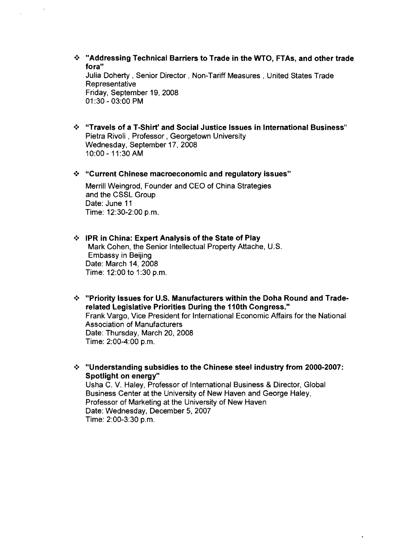- .:. "Addressing Technical Barriers to Trade in the WTO, FTAs, and other trade fora" Julia Doherty, Senior Director, Non-Tariff Measures, United States Trade Representative Friday, September 19, 2008 01 :30 - 03:00 PM
- .:. "Travels of a T-Shirt' and Social Justice Issues in International Business" Pietra Rivoli , Professor, Georgetown University Wednesday, September 17,2008 10:00 - 11:30 AM

#### .:. "Current Chinese macroeconomic and regulatory issues"

Merrill Weingrod, Founder and CEO of China Strategies and the CSSL Group Date: June 11 Time: 12:30-2:00 p.m.

## •:. IPR in China: Expert Analysis of the State of Play Mark Cohen, the Senior Intellectual Property Attache, U.S. Embassy in Beijing Date: March 14, 2008 Time: 12:00 to 1:30 p.m.

•:. "Priority Issues for U.S. Manufacturers within the Doha Round and Traderelated Legislative Priorities During the 110th Congress."

Frank Vargo, Vice President for International Economic Affairs for the National Association of Manufacturers Date: Thursday, March 20, 2008 Time: 2:00-4:00 p.m.

•:. "Understanding subsidies to the Chinese steel industry from 2000-2007: Spotlight on energy"

Usha C. V. Haley, Professor of International Business & Director, Global Business Center at the University of New Haven and George Haley, Professor of Marketing at the University of New Haven Date: Wednesday, December 5,2007 Time: 2:00-3:30 p.m.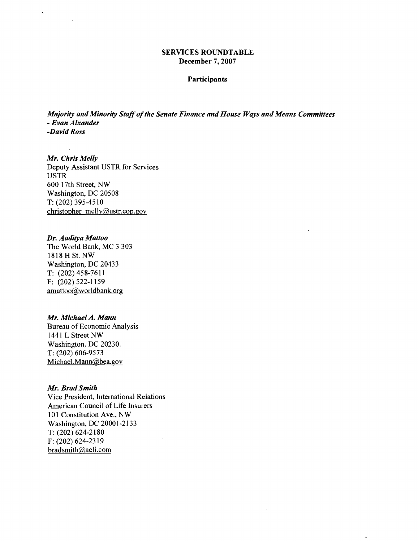## SERVICES ROUNDTABLE December 7, 2007

#### Participants

 $\ddot{\phantom{a}}$ 

*Majority and Minority Staffofthe Senate Finance and House Ways and Means Committees - Evan Alxander -David Ross* 

*Mr. Chris Melly*  Deputy Assistant USTR for Services USTR 600 17th Street, NW Washington, DC 20508 T: (202) 395-4510 christopher melly@ustr.eop.gov

## *Dr. Aaditya Mattoo*

 $\bar{\mathbf{v}}$ 

The World Bank, MC 3 303 1818 H St. NW Washington, DC 20433 T: (202)458-7611 F: (202) 522-1159 amattoo@worldbank.org

#### *Mr. MichaelA. Mann*

Bureau of Economic Analysis 1441 L Street NW Washington, DC 20230. T: (202) 606-9573 Michael.Mann@bea.gov

#### *Mr. Brad Smith*

Vice President, International Relations American Council of Life Insurers 101 Constitution Ave., NW Washington, DC 20001-2133 T: (202) 624-2180 F: (202) 624-2319 bradsmith@acli.com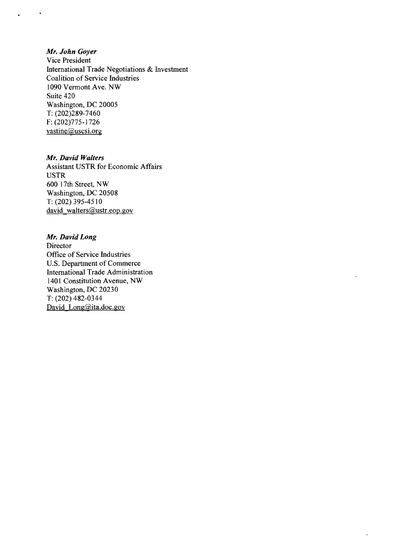## *Mr. John Goyer*

 $\bullet$ 

Vice President International Trade Negotiations & Investment Coalition of Service Industries 1090 Vermont Ave. NW Suite 420 Washington, DC 20005 T: (202)289-7460 F: (202)775-1726  $vastine@uscsi.org$ 

#### *Mr. David Walters*

Assistant USTR for Economic Affairs USTR 600 17th Street, NW Washington, DC 20508 T: (202) 395-4510 david walters@ustr.eop.gov

### *Mr. David Long*

Director Office of Service Industries u.S. Department of Commerce International Trade Administration 1401 Constitution Avenue, NW Washington, DC 20230 T: (202) 482-0344 David Long@ita.doc.gov

 $\ddot{\phantom{a}}$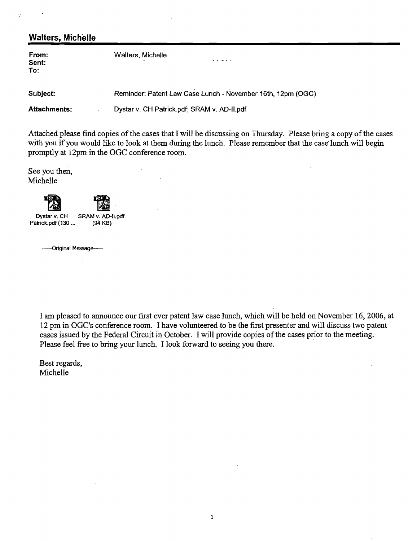| <b>Walters, Michelle</b> |                                                             |
|--------------------------|-------------------------------------------------------------|
| From:<br>Sent:<br>To:    | Walters, Michelle                                           |
| Subject:                 | Reminder: Patent Law Case Lunch - November 16th, 12pm (OGC) |
| <b>Attachments:</b>      | Dystar v. CH Patrick.pdf; SRAM v. AD-II.pdf                 |

 $\mathcal{L}$ 

 $\mathcal{L}$ 

Attached please find copies of the cases that I will be discussing on Thursday. Please bring a copy of the cases with you if you would like to look at them during the lunch. Please remember that the case lunch will begin promptly at 12pm in the OGC conference room.

 $\mathbf{r}$ 

See you then, Michelle

| Dystar v. CH<br>Patrick.pdf (130 | SRAM v. AD-II.pdf<br>(94 KB) |
|----------------------------------|------------------------------|
| -----Original Message-----       |                              |

I am pleased to announce our first ever patent law case lunch, which will be held on November 16,2006, at 12 pm in OGC's conference room. I have volunteered to be the first presenter and will discuss two patent cases issued by the Federal Circuit in October. I will provide copies of the cases prior to the meeting. Please feel free to bring your lunch. I look forward to seeing you there.

Best regards, Michelle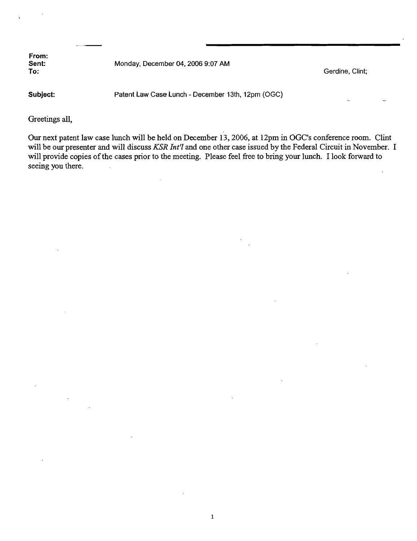**From: Sent: Monday, December 04, 2006 9:07 AM**<br> **To: To:** Gerdine, Clint; Contract Contract Contract Contract Contract Contract Contract Contract Contract Contract Contract Contract Contract Contract Contract Contract Contract Contract Contract Contract Contract Contract Co **Subject:** Patent Law Case Lunch - December 13th, 12pm (OGG)

Greetings all,

Our next patent law case lunch will be held on December 13,2006, at 12pm in OGC's conference room. Clint will be our presenter and will discuss *KSR Int'l* and one other case issued by the Federal Circuit in November. I will provide copies of the cases prior to the meeting. Please feel free to bring your lunch. I look forward to seeing you there.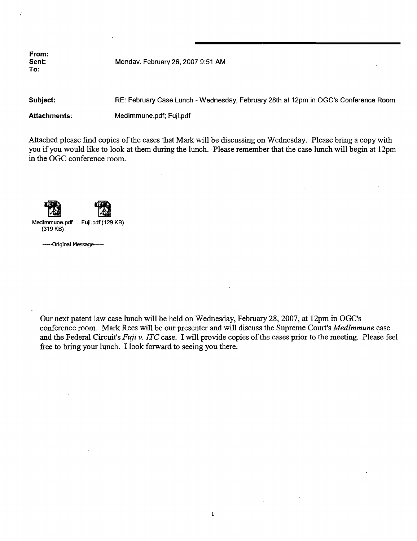**Sent:** Mondav. Februarv 26. 2007 9:51 AM

**Subject:** RE: February Case Lunch - Wednesday, February 28th at 12pm in OGC's Conference Room

Attachments: Medlmmune.pdf; Fuji.pdf

Attached please find copies of the cases that Mark will be discussing on Wednesday. Please bring a copy with you if you would like to look at them during the lunch. Please remember that the case lunch will begin at 12pm in the OGC conference room.

Medlmmune.pdf Fuji.pdf (129 KB) (319 KB)

------Original Message-----

Our next patent law case lunch will be held on Wednesday, February 28,2007, at 12pm in OGC's conference room. Mark Rees·will be our presenter and will discuss the Supreme Court's *MedImmune* case and the Federal Circuit's *Fuji v. ITC* case. I will provide copies of the cases prior to the meeting. Please feel free to bring your lunch. I look forward to seeing you there.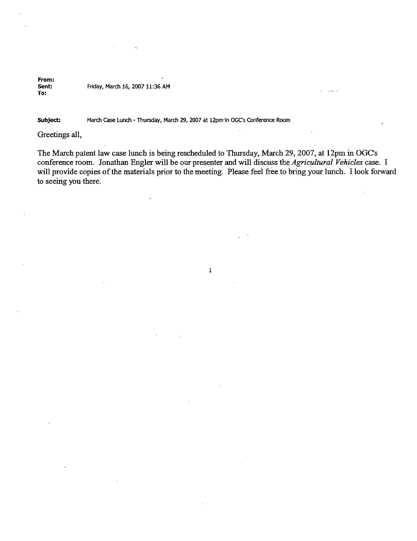#### From:<br>Sent: Friday, March 16, 2007 11:36 AM To:

#### Subject: March Case Lunch - Thursday, March 29, 2007 at 12pm in OGCs Conference Room

Greetings all,

The March patent law case lunch is being rescheduled to Thursday, March 29,2007, at 12pm in OGC's conference room. Jonathan Engler will be our presenter and will discuss the *Agricultural Vehicles* case. I will provide copies of the materials prior to the meeting. Please feel free to bring your lunch. I look forward to seeing you there.

1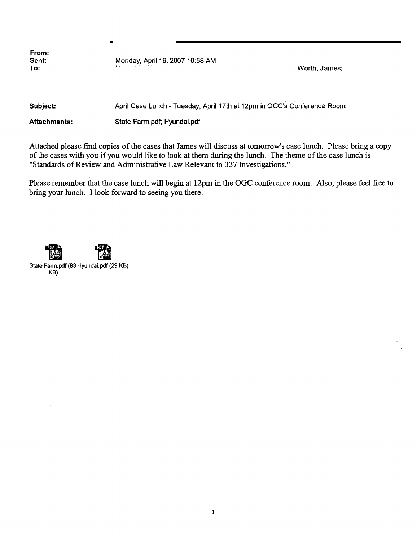**From:** 

**Sent:** Monday, April 16, 2007 10:58 AM ,.... \_. " a· .\_ **To:** Worth, James;

•

**Subject:** April Case Lunch - Tuesday, April 17th at 12pm in OGC's Conference Room

Attachments: State Farm.pdf; Hyundai.pdf

Attached please find copies of the cases that James will discuss at tomorrow's case lunch. Please bring a copy of the cases with you if you would like to look at them during the lunch. The theme of the case lunch is "Standards of Review and Administrative Law Relevant to 337 Investigations."

Please remember that the case lunch will begin at 12pm in the OGC conference room. Also, please feel free to bring your lunch. I look forward to seeing you there.

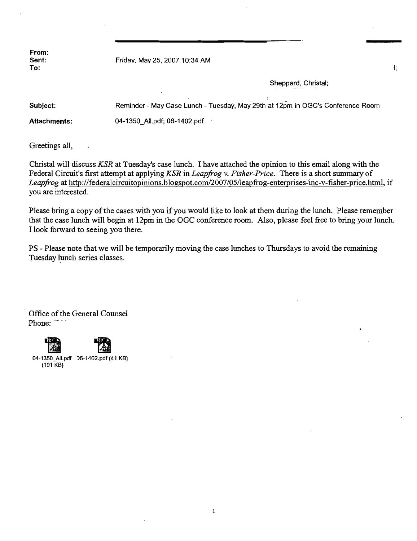Friday. May 25, 2007 10:34 AM

Sheppard, Christal;

 $\ddagger$ 

. I  $\sim$  1. Subject: Reminder - May Case Lunch - Tuesday, May 29th at 12pm in OGC's Conference Room Attachments: 04-1350\_All.pdf; 06-1402.pdf .

Greetings all,

Christal will discuss *KSR* at Tuesday's case lunch. I have attached the opinion to this email along with the Federal Circuit's first attempt at applying *KSR* in *Leapfrog v. Fisher-Price*. There is a short summary of *Leapfrog* at http://federalcircuitopinions.blogspot.com/2007/05/leapfrog-enterprises-inc-v-fisher-price.html, if you are interested.

Please bring a copy of the cases with you if you would like to look at them during the lunch. Please remember that the case lunch will begin at 12pm in the OGC conference room. Also, please feel free to bring your lunch. I look forward to seeing you there.

PS - Please note that we will be temporarily moving the case lunches to Thursdays to avoid the remaining Tuesday lunch series classes.

Office of the General Counsel Phone:



04-1350\_All.pdf )6-1402.pdf(41 KB) (191 KB)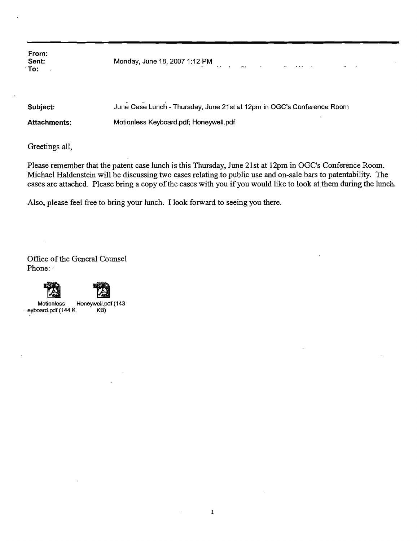| From:<br>Sent:<br>:To: | Monday, June 18, 2007 1:12 PM                                          |
|------------------------|------------------------------------------------------------------------|
| Subject:               | June Case Lunch - Thursday, June 21st at 12pm in OGC's Conference Room |

Attachments: Motionless Keyboard.pdf; Honeywell.pdf

Greetings all,

Please remember that the patent case lunch is this Thursday, June 21st at 12pm in OGC's Conference Room. Michael Haldenstein will be discussing two cases relating to public use and on-sale bars to patentability. The cases are attached. Please bring a copy of the cases with you if you would like to look at them during the lunch.

Also, please feel free to bring your lunch. I look forward to seeing you there.

Office of the General Counsel Phone:





Motionless Honeywell.pdf (143<br>oard.pdf (144 K. KB) eyboard.pdf (144 K.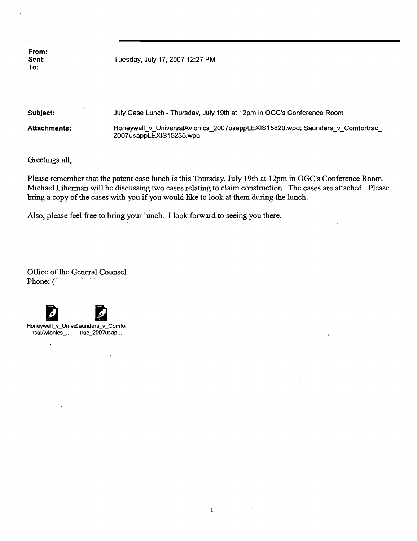From:<br>Sent: To:

Tuesday, July 17, 2007 12:27 PM

 $\bar{\beta}$ 

| Subject:     | July Case Lunch - Thursday, July 19th at 12pm in OGC's Conference Room                                  |
|--------------|---------------------------------------------------------------------------------------------------------|
| Attachments: | Honeywell v UniversalAvionics 2007usappLEXIS15820.wpd; Saunders v Comfortrac<br>2007usappLEXIS15235.wpd |

Greetings all,

Please remember that the patent case lunch is this Thursday, July 19th at 12pm in OGC's Conference Room. Michael Liberman will be discussing two cases relating to claim construction. The cases are attached. Please bring a copy of the cases with you if you would like to look at them during the lunch.

 $\sim$ 

Also, please feel free to bring your lunch. I look forward to seeing you there.

Office of the General Counsel Phone: (



 $\mathbf{r}$ 

 $\mathcal{L}$ 

Honeywell\_v\_UniveSaunders\_v\_Comfor rsaIAvionics\_... trac\_2007usap...

 $\sim$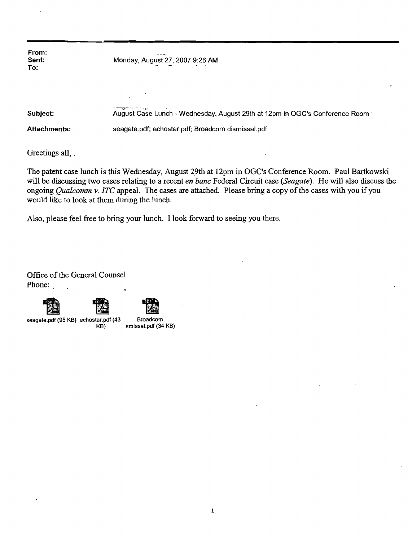**From: Sent:** Monday, August 27,20079:26 AM **To:** 

**Subject:** August Case Lunch - Wednesday, August 29th at 12pm in OGC's Conference Room' **Attachments:** seagate.pdf; echostar.pdf; Broadcom dismissal.pdf.

Greetings all, .

The patent case lunch is this Wednesday, August 29th at 12pm in OGC's Conference Room. Paul Bartkowski will be discussing two cases relating to a recent *en bane* Federal Circuit case *(Seagate).* He will also discuss the ongoing *Qualcomm v. ITC* appeal. The cases are attached. Please bring a copy of the cases with you if you would like to look at them during the lunch.

Also, please feel free to bring your lunch. I look forward to seeing you there.

**• "-;;::J--1 - --r** .

Office of the General Counsel Phone:

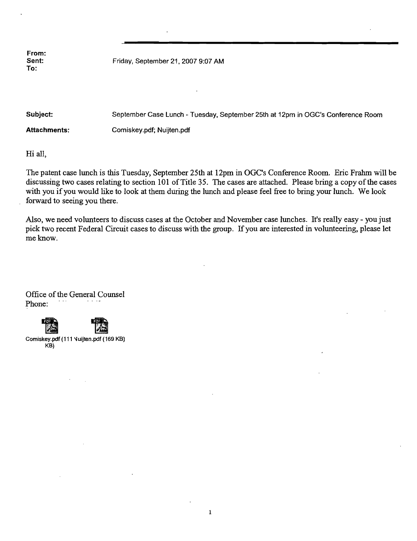Sent: Friday, September 21, 2007 9:07 AM

Subject: September Case Lunch - Tuesday. September 25th at 12pm in OGC's Conference Room Attachments: Comiskey.pdf; Nuijten.pdf

Hi all,

The patent *case* lunch is this Tuesday, September 25th at 12pm in OGC's Conference Room. Eric Frahm will be discussing two *cases* relating to section 101 of Title 35. The *cases* are attached. Please bring a copy ofthe *cases*  with you if you would like to look at them during the lunch and please feel free to bring your lunch. We look forward to seeing you there.

Also, we need volunteers to discuss cases at the October and November *case* lunches. It's really *easy* - you just pick two recent Federal Circuit cases to discuss with the group. If you are interested in volunteering, please let me know.

Office of the General Counsel Phone:

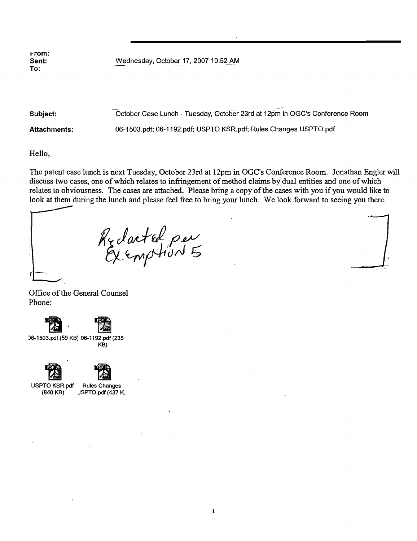rrom:<br>Sent: To: r--

Sent: Wednesday, October 17, 2007 10:52 AM<br>To:

Subject: Case Lunch - Tuesday, October 23rd at 12pm in OGC's Conference Room Attachments: 06-1503.pdf; 06-1192.pdf; USPTO KSR.pdf; Rules Changes USPTO.pdf

Hello,

The patent case lunch is next Tuesday, October 23rd at 12pm in OGC's Conference Room. Jonathan Engler will discuss two cases, one of which relates to infringement of method claims by dual entities and one of which relates to obviousness. The cases are attached. Please bring a copy of the cases with you if you would like to look at them during the lunch and please feel free to bring your lunch. We look forward to seeing you there.

Reducted per

Office of the General Counsel Phone:



)6-1503.pdf (59 KB) 06-1192.pdf (235 KB)





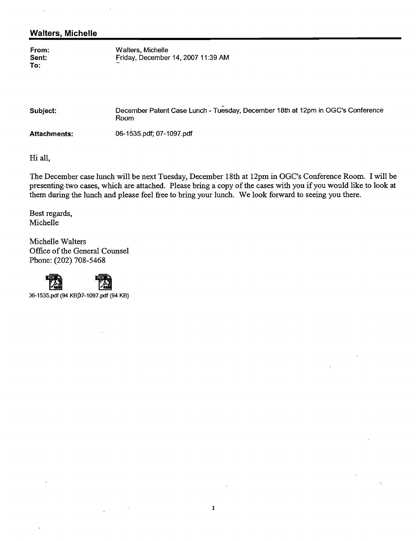# **Walters, Michelle**

| From: | Walters, Michelle                  |
|-------|------------------------------------|
| Sent: | Friday, December 14, 2007 11:39 AM |
| To:   |                                    |

| Subject:            | December Patent Case Lunch - Tuesday, December 18th at 12pm in OGC's Conference<br>Room |
|---------------------|-----------------------------------------------------------------------------------------|
| <b>Attachments:</b> | 06-1535.pdf; 07-1097.pdf                                                                |

Hi all,

The December case lunch will be next Tuesday, December 18th at 12pm in OGC's Conference Room. I will be presenting two cases, which are attached. Please bring a copy of the cases with you if you would like to look at them during the lunch and please feel free to bring your lunch. We look forward to seeing you there.

Best regards, Michelle

Michelle Walters Office of the General Counsel Phone: (202) 708-5468





 $\ddot{\phantom{a}}$ 

1995.pdf (94 KB)<br>
26-1535.pdf (94 KB)<br>
26-1535.pdf (94 KB)

 $\bar{1}$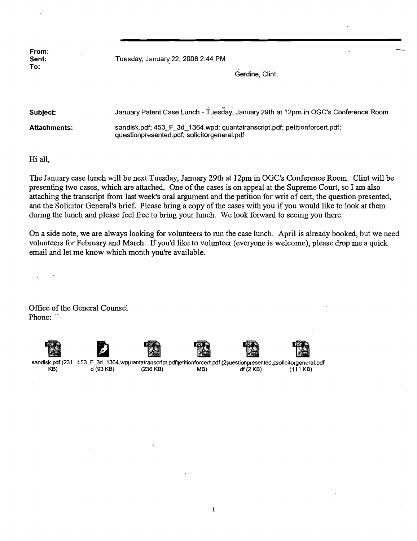| From:<br>Sent: | Tuesday, January 22, 2008 2:44 PM |                 | $\sim$ |
|----------------|-----------------------------------|-----------------|--------|
| To:            |                                   | Gerdine, Clint; |        |

| Subiect:            | January Patent Case Lunch - Tuesday, January 29th at 12pm in OGC's Conference Room                                        |
|---------------------|---------------------------------------------------------------------------------------------------------------------------|
| <b>Attachments:</b> | sandisk.pdf; 453 F 3d 1364.wpd; quantatranscript.pdf; petitionforcert.pdf;<br>questionpresented.pdf; solicitorgeneral.pdf |

Hi all,

The January case lunch will be next Tuesday, January 29th at 12pm in OGC's Conference Room. Clint will be presenting two cases, which are attached. One of the cases is on appeal at the Supreme Court, so I am also attaching the transcript from last week's oral argument and the petition for writ of cert, the question presented, and the Solicitor General's brief. Please bring a copy of the cases with you if you would like to look at them during the lunch and please feel free to bring your lunch. We look forward to seeing you there.

On a side note, we are always looking for volunteers to run the case lunch. April is already booked, but we need volunteers for February and March. If you'd like to volunteer (everyone is welcome), please drop me a quick email and let me know which month you're available.

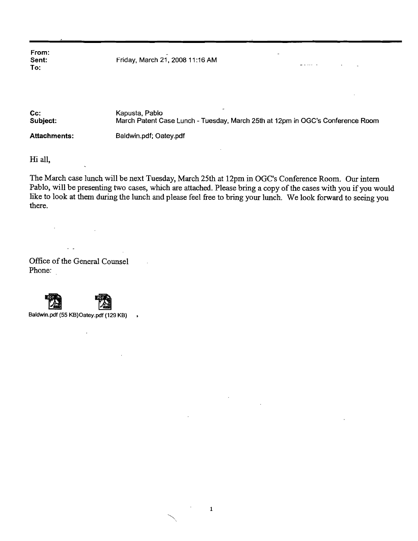Sent: Friday, March 21, 2008 11 :16 AM

Cc: Kapusta, Pablo<br>
Subject: March Patent C March Patent Case Lunch - Tuesday, March 25th at 12pm in OGC's Conference Room Attachments: Baldwin.pdf; Oatey.pdf

and a sale in a

Hi all,

The March case lunch will be next Tuesday, March 25th at 12pm in OGC's Conference Room. Our intern Pablo, will be presenting two cases, which are attached. Please bring a copy of the cases with you if you would like to look at them during the lunch and please feel free to bring your lunch. We look forward to seeing you there.

Office of the General Counsel Phone:

 $\mathbb{R}^2$ 



 $\epsilon$ 



Baldwin.pdf (55 KB)Oatey.pdf (129 KB)  $\ddot{\phantom{1}}$ 

 $\ddot{\phantom{a}}$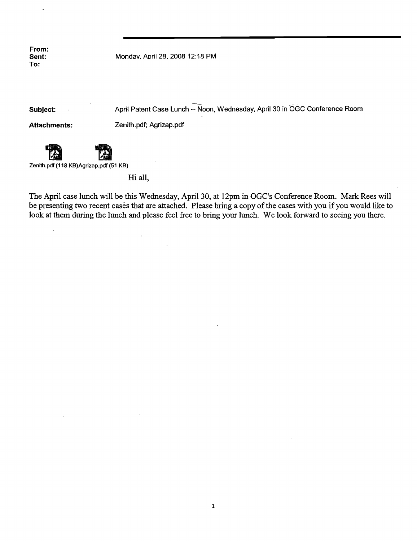Sent: Mondav. Aoril 28. 2008 12:18 PM

Subject: April Patent Case Lunch -- Noon, Wednesday, April 30 in OGC Conference Room

Attachments: Zenith.pdf; Agrizap.pdf

 $\ddot{\phantom{a}}$ 



Zenith.pdf (118 KB)Agrizap.pdf (51 KB)

Hi all,

 $\ddot{\phantom{a}}$ 

The April case lunch will be this Wednesday, April 30, at 12pm in OGC's Conference Room. Mark Rees will be presenting two recent cases that are attached. Please bring a copy of the cases with you if you would like to look at them during the lunch and please feel free to bring your lunch. We look forward to seeing you there.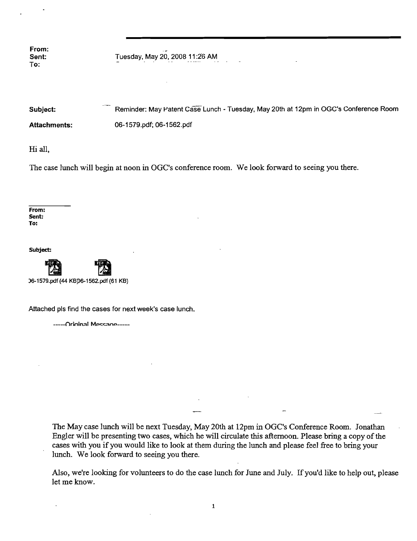To:

From: . Sent: Tuesday, May 20,200811 :2'6 AM

| Subject:            | Reminder: May Patent Case Lunch - Tuesday, May 20th at 12pm in OGC's Conference Room |
|---------------------|--------------------------------------------------------------------------------------|
| <b>Attachments:</b> | 06-1579.pdf; 06-1562.pdf                                                             |

Hi all,

The case lunch will begin at noon in OGC's conference room. We look forward to seeing you there.

From: Sent: To:

Subject:



)6-1579.pdf(44 KBP6-1562.pdf(61 KB}

Attached pis find the cases for next week's case lunch.

-----Orininal Messane-----

The May case lunch will be next Tuesday, May 20th at 12pm in OGC's Conference Room. Jonathan Engler will be presenting two cases, which he will circulate this afternoon. Please bring a copy of the cases with you if you would like to look at them during the lunch and please feel free to bring your lunch. We look forward to seeing you there.

Also, we're looking for volunteers to do the case lunch for June and July. If you'd like to help out, please let me know.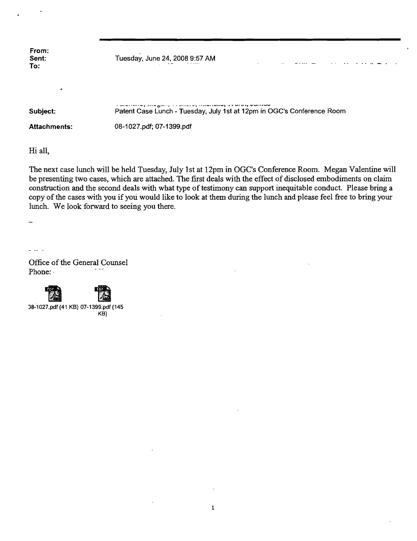Tuesday, June 24, 2008 9:57 AM

| Subject:     | المصادر والمتحد والمتحد والمستحدث والمستناد والمستحدث والمتمر والمستحدث والمستحدث<br>Patent Case Lunch - Tuesday, July 1st at 12pm in OGC's Conference Room |
|--------------|-------------------------------------------------------------------------------------------------------------------------------------------------------------|
| Attachments: | 08-1027.pdf; 07-1399.pdf                                                                                                                                    |

Hi all,

The next case lunch will be held Tuesday, July 1st at 12pm in OGC's Conference Room. Megan Valentine will be presenting two cases, which are attached. The first deals with the effect of disclosed embodiments on claim construction and the second deals with what type of testimony can support inequitable conduct. Please bring a copy of the cases with you if you would like to look at them during the lunch and please feel free to bring your lunch. We look forward to seeing you there.

 $\overline{\phantom{a}}$ 

Office of the General Counsel Phone:

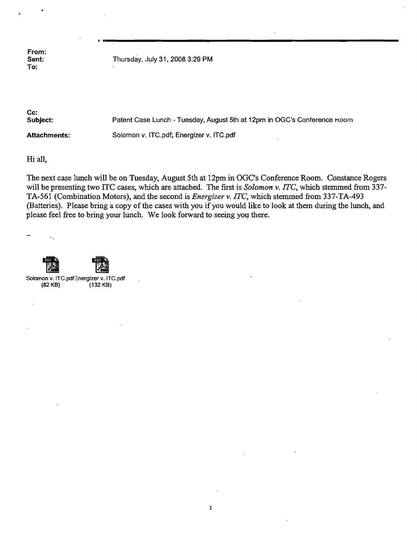Sent: Thursday, July 31, 2008 3:29 PM

Cc:<br>Subject: Patent Case Lunch - Tuesday, August 5th at 12pm in OGC's Conference Koom Attachments: Solomon v. ITC.pdf; Energizer v. ITC.pdf

Hi all,

The next case lunch will be on Tuesday, August 5th at l2pm in OGC's Conference Room. Constance Rogers will be presenting two ITC cases, which are attached. The first is *Solomon* v. *lTC,* which stemmed from 337 TA-56l (Combination Motors), and the second is *Energizer* v. *lTC,* which stemmed from 337-TA-493 (Batteries). Please bring a copy of the cases with you if you would like to look at them during the lunch, and please feel free to bring your lunch. We look forward to seeing you there.

 $\sim$   $\sim$ Solomon v. ITC.pdf Energizer v. ITC.pdf (82 KB) (132 KB)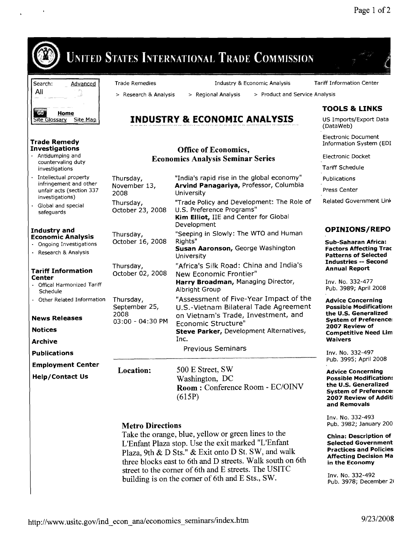

# Metro Directions

Take the orange, blue, yellow or green lines to the L'Enfant Plaza stop. Use the exit marked "L'Enfant Plaza, 9th & D Sts." & Exit onto D St. SW, and walk three blocks east to 6th and D streets. Walk south on 6th street to the comer of 6th and E streets. The USITC building is on the comer of 6th and E Sts., SW.

Pub. 3982; January 200

China: Description of Selected Government Practices and Policies Affecting Decision Ma in the Economy

Inv. No. 332-492 Pub. 3978; December 21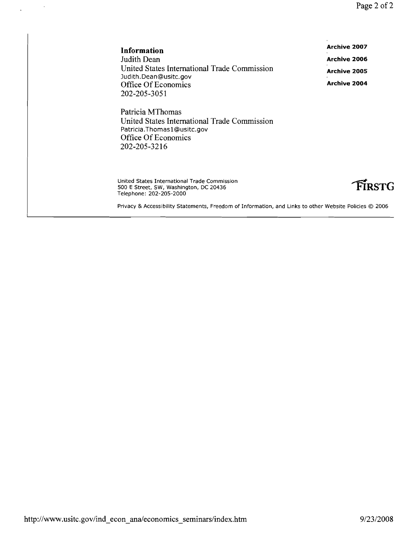Page 2 of 2

| Information                                  | Archive 2007        |
|----------------------------------------------|---------------------|
| Judith Dean                                  | <b>Archive 2006</b> |
| United States International Trade Commission | Archive 2005        |
| Judith.Dean@usitc.gov                        |                     |
| Office Of Economics                          | Archive 2004        |
| 202-205-3051                                 |                     |

Patricia MThomas United States International Trade Commission Patricia.Thomas1@usitc.gov Office Of Economics 202-205-3216

United States International Trade Commission 500 E Street, SW, Washington, DC 20436 Telephone: 202-205-2000

 $\overline{\phantom{a}}$ 



Privacy & Accessibility Statements, Freedom of Information, and Links to other Website Policies © 2006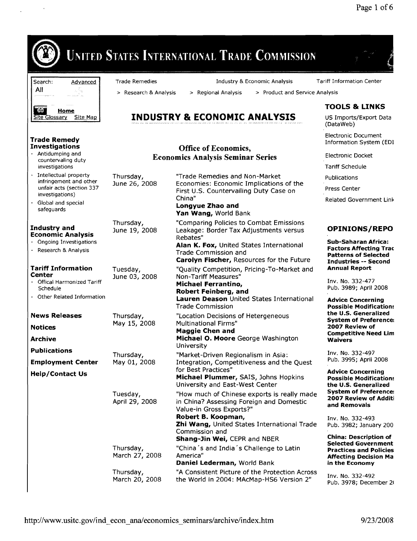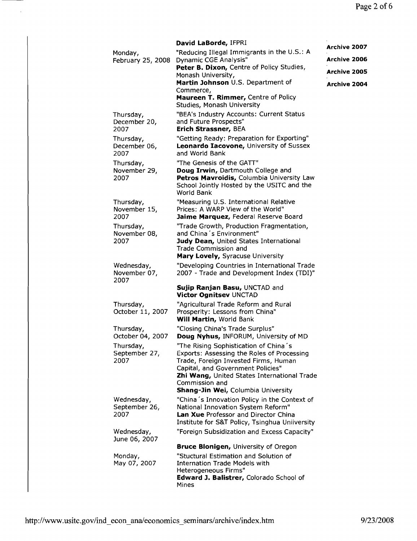|                                     | David LaBorde, IFPRI                                                                                                                                                                                                                                                           | Archive 2007        |
|-------------------------------------|--------------------------------------------------------------------------------------------------------------------------------------------------------------------------------------------------------------------------------------------------------------------------------|---------------------|
| Monday,<br>February 25, 2008        | "Reducing Illegal Immigrants in the U.S.: A<br>Dynamic CGE Analysis"                                                                                                                                                                                                           | <b>Archive 2006</b> |
|                                     | Peter B. Dixon, Centre of Policy Studies,<br>Monash University,                                                                                                                                                                                                                | Archive 2005        |
|                                     | Martin Johnson U.S. Department of<br>Commerce,                                                                                                                                                                                                                                 | Archive 2004        |
|                                     | Maureen T. Rimmer, Centre of Policy<br>Studies, Monash University                                                                                                                                                                                                              |                     |
| Thursday,<br>December 20,<br>2007   | "BEA's Industry Accounts: Current Status<br>and Future Prospects"<br>Erich Strassner, BEA                                                                                                                                                                                      |                     |
| Thursday,<br>December 06,<br>2007   | "Getting Ready: Preparation for Exporting"<br>Leonardo Iacovone, University of Sussex<br>and World Bank                                                                                                                                                                        |                     |
| Thursday,<br>November 29,<br>2007   | "The Genesis of the GATT"<br>Doug Irwin, Dartmouth College and<br>Petros Mavroidis, Columbia University Law<br>School Jointly Hosted by the USITC and the<br>World Bank                                                                                                        |                     |
| Thursday,<br>November 15,<br>2007   | "Measuring U.S. International Relative<br>Prices: A WARP View of the World"<br>Jaime Marquez, Federal Reserve Board                                                                                                                                                            |                     |
| Thursday,<br>November 08,<br>2007   | "Trade Growth, Production Fragmentation,<br>and China 's Environment"<br>Judy Dean, United States International<br>Trade Commission and<br>Mary Lovely, Syracuse University                                                                                                    |                     |
| Wednesday,<br>November 07,<br>2007  | "Developing Countries in International Trade<br>2007 - Trade and Development Index (TDI)"                                                                                                                                                                                      |                     |
|                                     | Sujip Ranjan Basu, UNCTAD and<br>Victor Ognitsev UNCTAD                                                                                                                                                                                                                        |                     |
| Thursday,<br>October 11, 2007       | "Agricultural Trade Reform and Rural<br>Prosperity: Lessons from China"<br>Will Martin, World Bank                                                                                                                                                                             |                     |
| Thursday,<br>October 04, 2007       | "Closing China's Trade Surplus"<br>Doug Nyhus, INFORUM, University of MD                                                                                                                                                                                                       |                     |
| Thursday,<br>September 27,<br>2007  | "The Rising Sophistication of China's<br>Exports: Assessing the Roles of Processing<br>Trade, Foreign Invested Firms, Human<br>Capital, and Government Policies"<br>Zhi Wang, United States International Trade<br>Commission and<br><b>Shang-Jin Wei, Columbia University</b> |                     |
| Wednesday,<br>September 26,<br>2007 | "China's Innovation Policy in the Context of<br>National Innovation System Reform"<br>Lan Xue Professor and Director China<br>Institute for S&T Policy, Tsinghua Uniiversity                                                                                                   |                     |
| Wednesday,<br>June 06, 2007         | "Foreign Subsidization and Excess Capacity"                                                                                                                                                                                                                                    |                     |
|                                     | <b>Bruce Blonigen, University of Oregon</b>                                                                                                                                                                                                                                    |                     |
| Monday,<br>May 07, 2007             | "Stuctural Estimation and Solution of<br><b>Internation Trade Models with</b><br>Heterogeneous Firms"                                                                                                                                                                          |                     |
|                                     | Edward J. Balistrer, Colorado School of<br>Mines                                                                                                                                                                                                                               |                     |

 $\hat{\boldsymbol{\epsilon}}$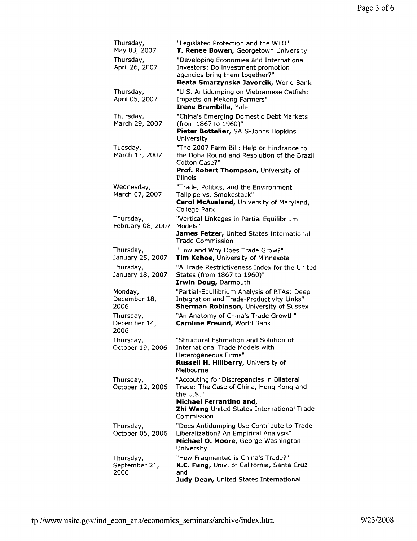| Thursday,<br>May 03, 2007          | "Legislated Protection and the WTO"<br>T. Renee Bowen, Georgetown University                                                                                                             |
|------------------------------------|------------------------------------------------------------------------------------------------------------------------------------------------------------------------------------------|
| Thursday,<br>April 26, 2007        | "Developing Economies and International<br>Investors: Do investment promotion<br>agencies bring them together?"                                                                          |
|                                    | Beata Smarzynska Javorcik, World Bank                                                                                                                                                    |
| Thursday,<br>April 05, 2007        | "U.S. Antidumping on Vietnamese Catfish:<br>Impacts on Mekong Farmers"<br>Irene Brambilla, Yale                                                                                          |
| Thursday,<br>March 29, 2007        | "China's Emerging Domestic Debt Markets<br>(from 1867 to 1960)"<br>Pieter Bottelier, SAIS-Johns Hopkins<br>University                                                                    |
| Tuesday,<br>March 13, 2007         | "The 2007 Farm Bill: Help or Hindrance to<br>the Doha Round and Resolution of the Brazil<br>Cotton Case?"<br>Prof. Robert Thompson, University of<br>Illinois                            |
| Wednesday,<br>March 07, 2007       | "Trade, Politics, and the Environment<br>Tailpipe vs. Smokestack"<br>Carol McAusland, University of Maryland,<br>College Park                                                            |
| Thursday,<br>February 08, 2007     | "Vertical Linkages in Partial Equilibrium<br>Models"<br>James Fetzer, United States International<br>Trade Commission                                                                    |
| Thursday,<br>January 25, 2007      | "How and Why Does Trade Grow?"<br>Tim Kehoe, University of Minnesota                                                                                                                     |
| Thursday,<br>January 18, 2007      | "A Trade Restrictiveness Index for the United<br>States (from 1867 to 1960)"<br>Irwin Doug, Darmouth                                                                                     |
| Monday,<br>December 18,<br>2006    | "Partial-Equilibrium Analysis of RTAs: Deep<br>Integration and Trade-Productivity Links"<br><b>Sherman Robinson, University of Sussex</b>                                                |
| Thursday,<br>December 14,<br>2006  | "An Anatomy of China's Trade Growth"<br>Caroline Freund, World Bank                                                                                                                      |
| Thursday,<br>October 19, 2006      | "Structural Estimation and Solution of<br><b>International Trade Models with</b><br>Heterogeneous Firms"<br>Russell H. Hillberry, University of<br>Melbourne                             |
| Thursday,<br>October 12, 2006      | "Accouting for Discrepancies in Bilateral<br>Trade: The Case of China, Hong Kong and<br>the U.S."<br>Michael Ferrantino and,<br>Zhi Wang United States International Trade<br>Commission |
| Thursday,<br>October 05, 2006      | "Does Antidumping Use Contribute to Trade<br>Liberalization? An Empirical Analysis"<br>Michael O. Moore, George Washington<br>University                                                 |
| Thursday,<br>September 21,<br>2006 | "How Fragmented is China's Trade?"<br>K.C. Fung, Univ. of California, Santa Cruz<br>and<br>Judy Dean, United States International                                                        |

 $\frac{1}{\sqrt{2}}$ 

 $\frac{1}{2}$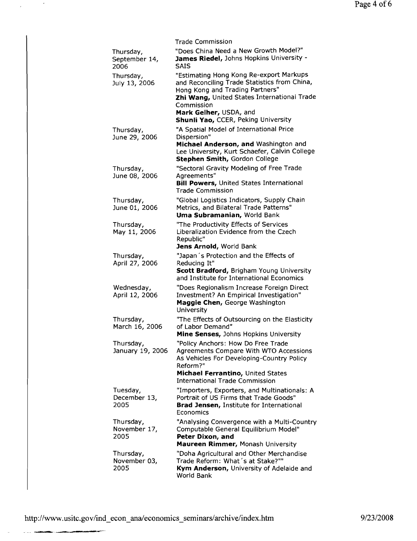|                                    | <b>Trade Commission</b>                                                                                                                                                                                                                                  |
|------------------------------------|----------------------------------------------------------------------------------------------------------------------------------------------------------------------------------------------------------------------------------------------------------|
| Thursday,<br>September 14,<br>2006 | "Does China Need a New Growth Model?"<br>James Riedel, Johns Hopkins University -<br><b>SAIS</b>                                                                                                                                                         |
| Thursday,<br>July 13, 2006         | "Estimating Hong Kong Re-export Markups<br>and Reconciling Trade Statistics from China,<br>Hong Kong and Trading Partners"<br>Zhi Wang, United States International Trade<br>Commission<br>Mark Gelher, USDA, and<br>Shunli Yao, CCER, Peking University |
| Thursday,<br>June 29, 2006         | "A Spatial Model of International Price<br>Dispersion"<br>Michael Anderson, and Washington and<br>Lee University, Kurt Schaefer, Calvin College<br>Stephen Smith, Gordon College                                                                         |
| Thursday,<br>June 08, 2006         | "Sectoral Gravity Modeling of Free Trade<br>Agreements"<br><b>Bill Powers, United States International</b><br><b>Trade Commission</b>                                                                                                                    |
| Thursday,<br>June 01, 2006         | "Global Logistics Indicators, Supply Chain<br>Metrics, and Bilateral Trade Patterns"<br>Uma Subramanian, World Bank                                                                                                                                      |
| Thursday,<br>May 11, 2006          | "The Productivity Effects of Services<br>Liberalization Evidence from the Czech<br>Republic"<br>Jens Arnold, World Bank                                                                                                                                  |
| Thursday,<br>April 27, 2006        | "Japan's Protection and the Effects of<br>Reducing It"<br><b>Scott Bradford, Brigham Young University</b><br>and Institute for International Economics                                                                                                   |
| Wednesday,<br>April 12, 2006       | "Does Regionalism Increase Foreign Direct<br>Investment? An Empirical Investigation"<br>Maggie Chen, George Washington<br>University                                                                                                                     |
| Thursday,<br>March 16, 2006        | "The Effects of Outsourcing on the Elasticity<br>of Labor Demand"<br>Mine Senses, Johns Hopkins University                                                                                                                                               |
| Thursday,<br>January 19, 2006      | "Policy Anchors: How Do Free Trade<br>Agreements Compare With WTO Accessions<br>As Vehicles For Developing-Country Policy<br>Reform?"<br>Michael Ferrantino, United States<br><b>International Trade Commission</b>                                      |
| Tuesday,<br>December 13,<br>2005   | "Importers, Exporters, and Multinationals: A<br>Portrait of US Firms that Trade Goods"<br><b>Brad Jensen, Institute for International</b><br>Economics                                                                                                   |
| Thursday,<br>November 17,<br>2005  | "Analysing Convergence with a Multi-Country<br>Computable General Equilibrium Model"<br>Peter Dixon, and<br>Maureen Rimmer, Monash University                                                                                                            |
| Thursday,<br>November 03,<br>2005  | "Doha Agricultural and Other Merchandise<br>Trade Reform: What's at Stake?""<br>Kym Anderson, University of Adelaide and<br>World Bank                                                                                                                   |

 $\hat{\mathcal{A}}$ 

 $\sim$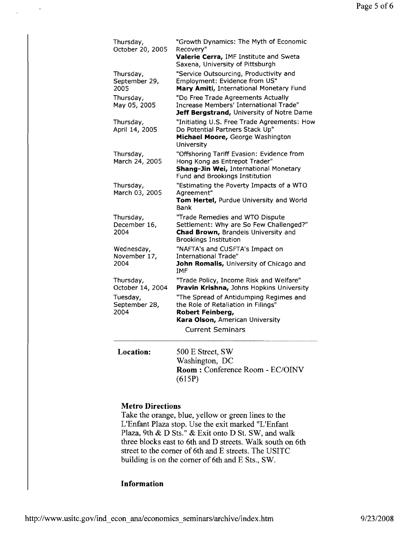| 500 E Street SW                                                                                                                                       |
|-------------------------------------------------------------------------------------------------------------------------------------------------------|
| <b>Current Seminars</b>                                                                                                                               |
| the Role of Retaliation in Filings"<br>Robert Feinberg,<br>Kara Olson, American University                                                            |
| "The Spread of Antidumping Regimes and                                                                                                                |
| "Trade Policy, Income Risk and Welfare"<br>Pravin Krishna, Johns Hopkins University                                                                   |
| "NAFTA's and CUSFTA's Impact on<br>International Trade"<br>John Romalis, University of Chicago and<br><b>IMF</b>                                      |
| Settlement: Why are So Few Challenged?"<br>Chad Brown, Brandeis University and<br><b>Brookings Institution</b>                                        |
| Bank<br>"Trade Remedies and WTO Dispute                                                                                                               |
| "Estimating the Poverty Impacts of a WTO<br>Agreement"<br>Tom Hertel, Purdue University and World                                                     |
| "Offshoring Tariff Evasion: Evidence from<br>Hong Kong as Entrepot Trader"<br>Shang-Jin Wei, International Monetary<br>Fund and Brookings Institution |
| "Initiating U.S. Free Trade Agreements: How<br>Do Potential Partners Stack Up"<br>Michael Moore, George Washington<br>University                      |
| "Do Free Trade Agreements Actually<br>Increase Members' International Trade"<br>Jeff Bergstrand, University of Notre Dame                             |
| "Service Outsourcing, Productivity and<br>Employment: Evidence from US"<br>Mary Amiti, International Monetary Fund                                    |
| "Growth Dynamics: The Myth of Economic<br>Recovery"<br>Valerie Cerra, IMF Institute and Sweta<br>Saxena, University of Pittsburgh                     |
|                                                                                                                                                       |

**Location:**  Street, S Washington, DC **Room:** Conference Room - EC/OINV (615P)

# **Metro Directions**

 $\ddot{\phantom{0}}$ 

Take the orange, blue, yellow or green lines to the L'Enfant Plaza stop. Use the exit marked "L'Enfant Plaza, 9th & D Sts." & Exit onto D St. SW, and walk three blocks east to 6th and D streets. Walk south on 6th street to the corner of 6th and E streets. The USITC building is on the corner of 6th and E Sts., SW.

# **Information**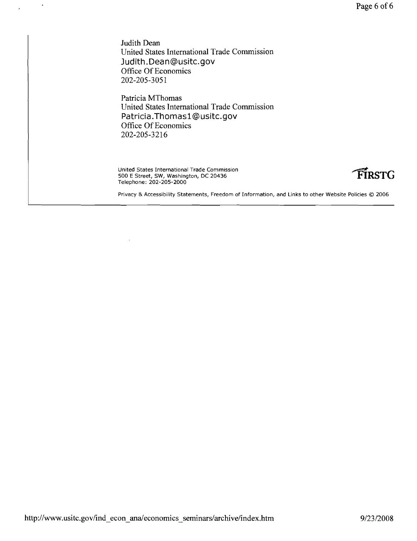Judith Dean United States International Trade Commission **Judith.Dean@usitc.gov**  Office Of Economics 202-205-3051

 $\bar{\mathbf{r}}$ 

Patricia MThomas United States International Trade Commission **Patricia.Thomasl@usitc.gov**  Office Of Economics 202-205-3216

United States International Trade Commission 500 E Street, SW, Washington, DC 20436 **'FiRSTG**  Telephone: 202-205-2000



Privacy & Accessibility Statements, Freedom of Information, and Links to other Website Policies © 2006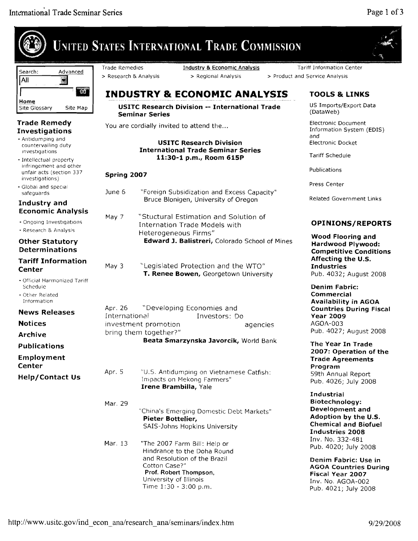|                                                                            |                                                | <b>UNITED STATES INTERNATIONAL TRADE COMMISSION</b>                                                                                                                                       |                                                                                                                                                                   |
|----------------------------------------------------------------------------|------------------------------------------------|-------------------------------------------------------------------------------------------------------------------------------------------------------------------------------------------|-------------------------------------------------------------------------------------------------------------------------------------------------------------------|
| Search:<br>Advanced<br>All<br>X                                            | <b>Trade Remedies</b><br>> Research & Analysis | Industry & Economic Analysis<br>> Regional Analysis                                                                                                                                       | <b>Tariff Information Center</b><br>> Product and Service Analysis                                                                                                |
| 60                                                                         |                                                | <b>INDUSTRY &amp; ECONOMIC ANALYSIS</b>                                                                                                                                                   | <b>TOOLS &amp; LINKS</b>                                                                                                                                          |
| Home<br>Site Map<br>Site Glossary                                          |                                                | USITC Research Division -- International Trade<br><b>Seminar Series</b>                                                                                                                   | US Imports/Export Data<br>(DataWeb)                                                                                                                               |
| <b>Trade Remedy</b>                                                        |                                                | You are cordially invited to attend the                                                                                                                                                   | Electronic Document                                                                                                                                               |
| Investigations<br>- Antidumping and<br>countervailing duty                 |                                                | <b>USITC Research Division</b>                                                                                                                                                            | Information System (EDIS)<br>and<br>Electronic Docket                                                                                                             |
| investigations<br>- Intellectual property                                  |                                                | <b>International Trade Seminar Series</b><br>11:30-1 p.m., Room 615P                                                                                                                      | <b>Tariff Schedule</b>                                                                                                                                            |
| infringement and other<br>unfair acts (section 337<br>investigations)      | Spring 2007                                    |                                                                                                                                                                                           | Publications                                                                                                                                                      |
| • Global and special                                                       | June 6                                         |                                                                                                                                                                                           | Press Center                                                                                                                                                      |
| safeguards<br>Industry and                                                 |                                                | "Foreign Subsidization and Excess Capacity"<br>Bruce Blonigen, University of Oregon                                                                                                       | <b>Related Government Links</b>                                                                                                                                   |
| <b>Economic Analysis</b>                                                   | May 7                                          | "Stuctural Estimation and Solution of                                                                                                                                                     |                                                                                                                                                                   |
| - Ongoing Investigations<br>- Research & Analysis                          |                                                | <b>Internation Trade Models with</b><br>Heterogeneous Firms"                                                                                                                              | <b>OPINIONS/REPORTS</b>                                                                                                                                           |
| <b>Other Statutory</b><br><b>Determinations</b>                            |                                                | Edward J. Balistreri, Colorado School of Mines                                                                                                                                            | <b>Wood Flooring and</b><br>Hardwood Plywood:<br><b>Competitive Conditions</b>                                                                                    |
| <b>Tariff Information</b><br>Center                                        | May 3                                          | "Legislated Protection and the WTO"<br>T. Renee Bowen, Georgetown University                                                                                                              | Affecting the U.S.<br><b>Industries</b><br>Pub. 4032; August 2008                                                                                                 |
| • Official Harmonized Tariff<br>Schedule<br>- Other Related<br>Information |                                                |                                                                                                                                                                                           | Denim Fabric:<br>Commercial<br><b>Availability in AGOA</b>                                                                                                        |
| <b>News Releases</b>                                                       | Apr. 26<br>International                       | "Developing Economies and<br>Investors: Do                                                                                                                                                | <b>Countries During Fiscal</b><br><b>Year 2009</b>                                                                                                                |
| <b>Notices</b>                                                             |                                                | investment promotion<br>agencies                                                                                                                                                          | AGOA-003                                                                                                                                                          |
| <b>Archive</b>                                                             |                                                | bring them together?"<br>Beata Smarzynska Javorcik, World Bank                                                                                                                            | Pub. 4027; August 2008                                                                                                                                            |
| <b>Publications</b><br>Employment                                          |                                                |                                                                                                                                                                                           | The Year In Trade<br>2007: Operation of the<br><b>Trade Agreements</b>                                                                                            |
| Center<br><b>Help/Contact Us</b>                                           | Apr. 5                                         | "U.S. Antidumping on Vietnamese Catfish:<br>Impacts on Mekong Farmers"<br>Irene Brambilla, Yale                                                                                           | Program<br>59th Annual Report<br>Pub. 4026; July 2008                                                                                                             |
|                                                                            | Mar. 29                                        | "China's Emerging Domestic Debt Markets"<br>Pieter Bottelier,<br>SAIS-Johns Hopkins University                                                                                            | Industrial<br>Biotechnology:<br>Development and<br>Adoption by the U.S.<br><b>Chemical and Biofuel</b><br><b>Industries 2008</b>                                  |
|                                                                            | Mar. 13                                        | "The 2007 Farm Bill: Help or<br>Hindrance to the Doha Round<br>and Resolution of the Brazil<br>Cotton Case?"<br>Prof. Robert Thompson,<br>University of Illinois<br>Time 1:30 - 3:00 p.m. | Inv. No. 332-481<br>Pub. 4020; July 2008<br>Denim Fabric: Use in<br><b>AGOA Countries During</b><br>Fiscal Year 2007<br>Inv. No. AGOA-002<br>Pub. 4021; July 2008 |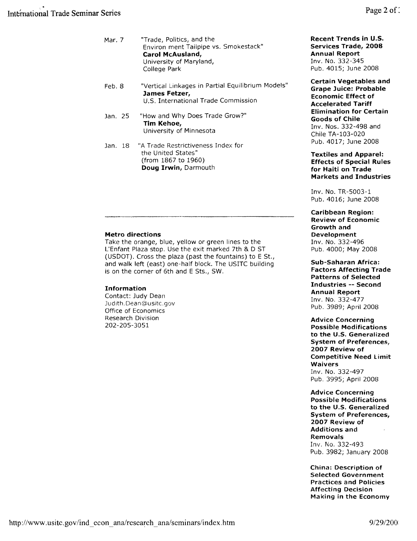| Mar. 7 | "Trade, Politics, and the<br>Environ ment Tailpipe vs. Smokestack"<br>Carol McAusland,<br>University of Maryland,<br>College Park |
|--------|-----------------------------------------------------------------------------------------------------------------------------------|
| Feb. 8 | "Vertical Linkages in Partial Equilibrium Models"<br>James Fetzer,                                                                |

U.S. International Trade Commission

- Jan. 25 "How and Why Does Trade Grow?" Tim Kehoe, University of Minnesota
- Jan. 18 "A Trade Restrictiveness Index for the United States" (from 1867 to 1960) Doug Irwin, Darmouth

#### Metro directions

Take the orange, blue, yellow or green lines to the L'Enfant Plaza stop. Use the exit marked 7th & D ST (USDOT). Cross the plaza (past the fountains) to E St., and walk left (east) one-half block. The USITC building is on the corner of 6th and E Sts., SW.

#### Information

Contact: Judy Dean Judith.Dean@usitc.gov Office of Economics Research Division 202-205-3051

Recent Trends in U.S. Services Trade, 2008 Annual Report Inv. No. 332-345 Pub. 4015; June 2008

Certain Vegetables and Grape Juice: Probable Economic Effect of Accelerated Tariff Elimination for Certain Goods of Chile Inv. Nos. 332-498 and Chile TA-103-020 Pub. 4017; June 2008

Textiles and Apparel: Effects of Special Rules for Haiti on Trade Markets and Industries

Inv. No. TR-5003-1 Pub. 4016; June 2008

Caribbean Region: Review of Economic Growth and Development Inv. No. 332-496 Pub. 4000; May 2008

Sub-Saharan Africa: Factors Affecting Trade Patterns of Selected Industries -- Second Annual Report Inv. No. 332-477 Pub. 3989; April 2008

Advice Concerning Possible Modifications to the U.S. Generalized System of Preferences, 2007 Review of Competitive Need limit Waivers Inv. No. 332-497 Pub. 3995; April 2008

Advice Concerning Possible Modifications to the U.S. Generalized System of Preferences, 2007 Review of Additions and Removals Inv. No. 332-493 Pub. 3982; January 2008

China: Description of Selected Government Practices and Policies Affecting Decision Making in the Economy